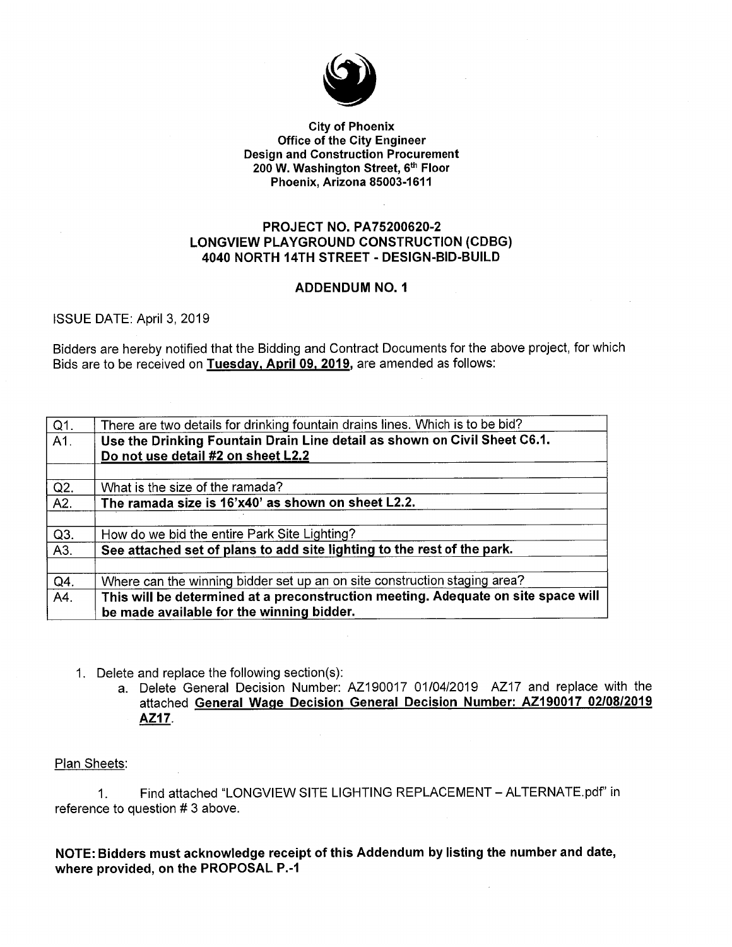

#### **City of Phoenix Office of the City Engineer Design and Construction Procurement** 200 W. Washington Street, 6th Floor Phoenix, Arizona 85003-1611

### **PROJECT NO. PA75200620-2 LONGVIEW PLAYGROUND CONSTRUCTION (CDBG)** 4040 NORTH 14TH STREET - DESIGN-BID-BUILD

### **ADDENDUM NO. 1**

ISSUE DATE: April 3, 2019

Bidders are hereby notified that the Bidding and Contract Documents for the above project, for which Bids are to be received on Tuesday, April 09, 2019, are amended as follows:

| $Q1$ . | There are two details for drinking fountain drains lines. Which is to be bid?     |  |
|--------|-----------------------------------------------------------------------------------|--|
| A1.    | Use the Drinking Fountain Drain Line detail as shown on Civil Sheet C6.1.         |  |
|        | Do not use detail #2 on sheet L2.2                                                |  |
|        |                                                                                   |  |
| Q2.    | What is the size of the ramada?                                                   |  |
| A2.    | The ramada size is 16'x40' as shown on sheet L2.2.                                |  |
|        |                                                                                   |  |
| Q3.    | How do we bid the entire Park Site Lighting?                                      |  |
| A3.    | See attached set of plans to add site lighting to the rest of the park.           |  |
|        |                                                                                   |  |
| Q4.    | Where can the winning bidder set up an on site construction staging area?         |  |
| A4.    | This will be determined at a preconstruction meeting. Adequate on site space will |  |
|        | be made available for the winning bidder.                                         |  |
|        |                                                                                   |  |

- 1. Delete and replace the following section(s):
	- a. Delete General Decision Number: AZ190017 01/04/2019 AZ17 and replace with the attached General Wage Decision General Decision Number: AZ190017 02/08/2019 AZ17.

#### Plan Sheets:

Find attached "LONGVIEW SITE LIGHTING REPLACEMENT - ALTERNATE.pdf" in  $1_{\cdot}$ reference to question #3 above.

NOTE: Bidders must acknowledge receipt of this Addendum by listing the number and date, where provided, on the PROPOSAL P.-1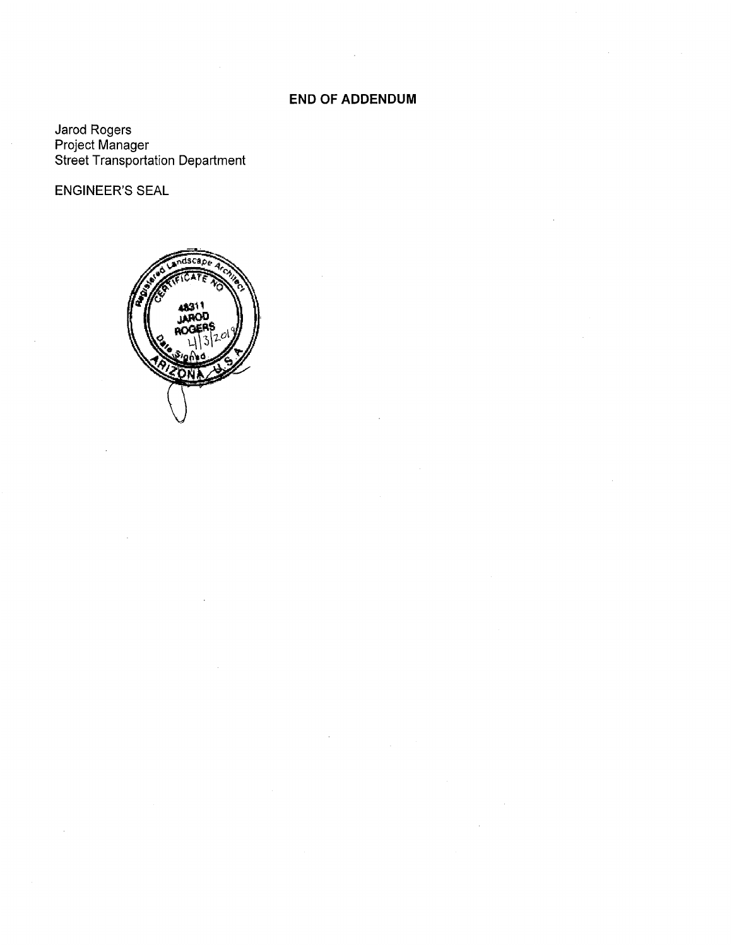### **END OF ADDENDUM**

Jarod Rogers<br>Project Manager<br>Street Transportation Department

**ENGINEER'S SEAL** 

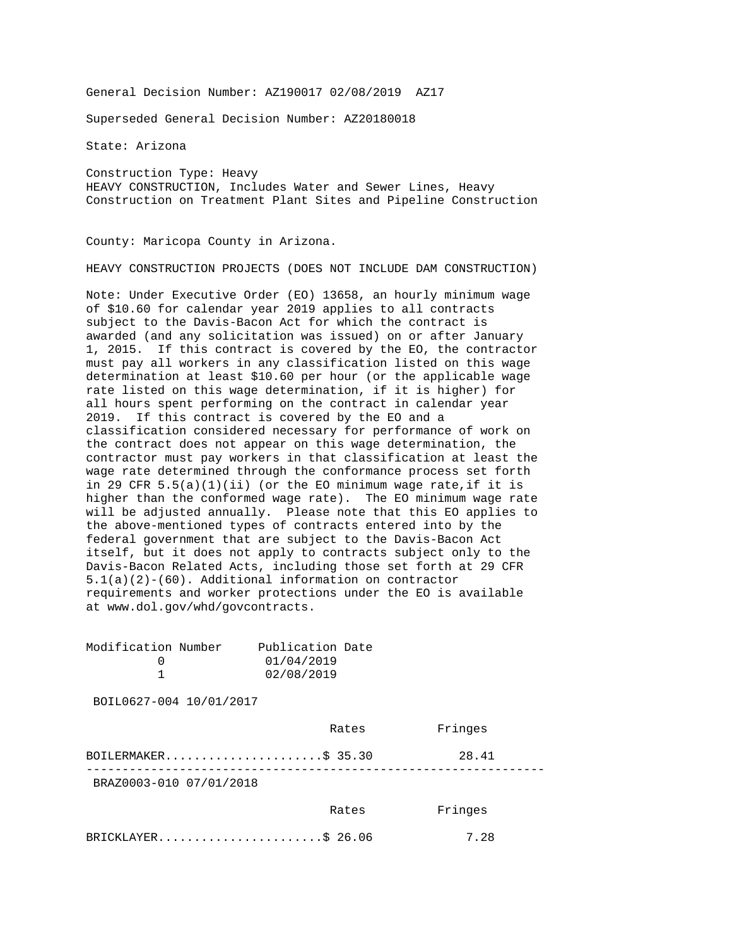General Decision Number: AZ190017 02/08/2019 AZ17

Superseded General Decision Number: AZ20180018

State: Arizona

Construction Type: Heavy HEAVY CONSTRUCTION, Includes Water and Sewer Lines, Heavy Construction on Treatment Plant Sites and Pipeline Construction

County: Maricopa County in Arizona.

HEAVY CONSTRUCTION PROJECTS (DOES NOT INCLUDE DAM CONSTRUCTION)

Note: Under Executive Order (EO) 13658, an hourly minimum wage of \$10.60 for calendar year 2019 applies to all contracts subject to the Davis-Bacon Act for which the contract is awarded (and any solicitation was issued) on or after January 1, 2015. If this contract is covered by the EO, the contractor must pay all workers in any classification listed on this wage determination at least \$10.60 per hour (or the applicable wage rate listed on this wage determination, if it is higher) for all hours spent performing on the contract in calendar year 2019. If this contract is covered by the EO and a classification considered necessary for performance of work on the contract does not appear on this wage determination, the contractor must pay workers in that classification at least the wage rate determined through the conformance process set forth in 29 CFR  $5.5(a)(1)(ii)$  (or the EO minimum wage rate, if it is higher than the conformed wage rate). The EO minimum wage rate will be adjusted annually. Please note that this EO applies to the above-mentioned types of contracts entered into by the federal government that are subject to the Davis-Bacon Act itself, but it does not apply to contracts subject only to the Davis-Bacon Related Acts, including those set forth at 29 CFR 5.1(a)(2)-(60). Additional information on contractor requirements and worker protections under the EO is available at www.dol.gov/whd/govcontracts.

| Modification Number<br>0<br>$\mathbf{1}$ | Publication Date<br>01/04/2019<br>02/08/2019 |         |
|------------------------------------------|----------------------------------------------|---------|
| BOIL0627-004 10/01/2017                  |                                              |         |
|                                          | Rates                                        | Fringes |
| BOILERMAKER\$ 35.30                      |                                              | 28.41   |
| BRAZ0003-010 07/01/2018                  |                                              |         |
|                                          | Rates                                        | Fringes |
| BRICKLAYER\$ 26.06                       |                                              | 7.28    |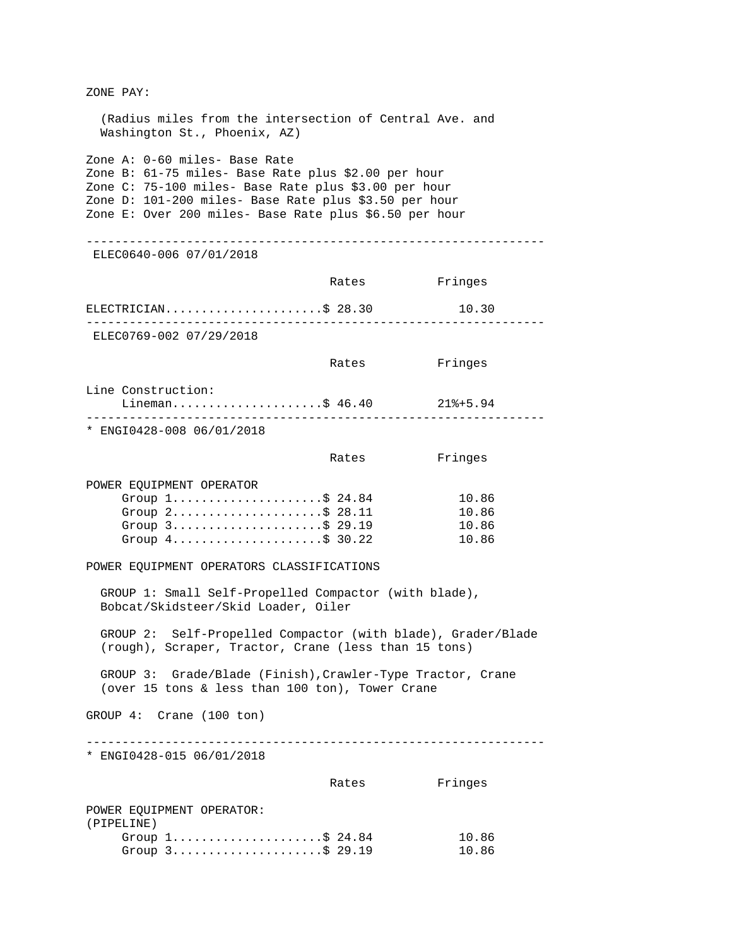| ZONE PAY:                                                                                                                                                                                                                                                                                                                                                                                                                                                                                                                                                                                               |                                 |                                  |
|---------------------------------------------------------------------------------------------------------------------------------------------------------------------------------------------------------------------------------------------------------------------------------------------------------------------------------------------------------------------------------------------------------------------------------------------------------------------------------------------------------------------------------------------------------------------------------------------------------|---------------------------------|----------------------------------|
| (Radius miles from the intersection of Central Ave. and<br>Washington St., Phoenix, AZ)                                                                                                                                                                                                                                                                                                                                                                                                                                                                                                                 |                                 |                                  |
| Zone A: 0-60 miles- Base Rate<br>Zone B: 61-75 miles- Base Rate plus \$2.00 per hour<br>Zone C: 75-100 miles- Base Rate plus \$3.00 per hour<br>Zone D: 101-200 miles- Base Rate plus \$3.50 per hour<br>Zone E: Over 200 miles- Base Rate plus \$6.50 per hour                                                                                                                                                                                                                                                                                                                                         |                                 |                                  |
| ELEC0640-006 07/01/2018                                                                                                                                                                                                                                                                                                                                                                                                                                                                                                                                                                                 |                                 |                                  |
|                                                                                                                                                                                                                                                                                                                                                                                                                                                                                                                                                                                                         | Rates                           | Fringes                          |
| ELECTRICIAN\$ 28.30                                                                                                                                                                                                                                                                                                                                                                                                                                                                                                                                                                                     |                                 | 10.30                            |
| ELEC0769-002 07/29/2018                                                                                                                                                                                                                                                                                                                                                                                                                                                                                                                                                                                 |                                 |                                  |
|                                                                                                                                                                                                                                                                                                                                                                                                                                                                                                                                                                                                         | Rates                           | Fringes                          |
| Line Construction:<br>Lineman\$ 46.40                                                                                                                                                                                                                                                                                                                                                                                                                                                                                                                                                                   |                                 | $218 + 5.94$                     |
| * ENGI0428-008 06/01/2018                                                                                                                                                                                                                                                                                                                                                                                                                                                                                                                                                                               |                                 |                                  |
|                                                                                                                                                                                                                                                                                                                                                                                                                                                                                                                                                                                                         | Rates                           | Fringes                          |
| POWER EQUIPMENT OPERATOR<br>Group $1, \ldots, \ldots, \ldots, \$ 24.84<br>Group $2$ \$ 28.11<br>Group 3\$ 29.19<br>Group $4 \ldots \ldots \ldots \ldots \ldots \ldots \text{ } 30.22$<br>POWER EQUIPMENT OPERATORS CLASSIFICATIONS<br>GROUP 1: Small Self-Propelled Compactor (with blade),<br>Bobcat/Skidsteer/Skid Loader, Oiler<br>GROUP 2: Self-Propelled Compactor (with blade), Grader/Blade<br>(rough), Scraper, Tractor, Crane (less than 15 tons)<br>GROUP 3: Grade/Blade (Finish), Crawler-Type Tractor, Crane<br>(over 15 tons & less than 100 ton), Tower Crane<br>GROUP 4: Crane (100 ton) | ------------------------------- | 10.86<br>10.86<br>10.86<br>10.86 |
| * ENGI0428-015 06/01/2018                                                                                                                                                                                                                                                                                                                                                                                                                                                                                                                                                                               |                                 |                                  |
|                                                                                                                                                                                                                                                                                                                                                                                                                                                                                                                                                                                                         | Rates                           | Fringes                          |
| POWER EQUIPMENT OPERATOR:<br>(PIPELINE)<br>Group $1 \ldots \ldots \ldots \ldots \ldots \ldots$ \$ 24.84<br>Group $3 \ldots \ldots \ldots \ldots \ldots \ldots$ \$ 29.19                                                                                                                                                                                                                                                                                                                                                                                                                                 |                                 | 10.86<br>10.86                   |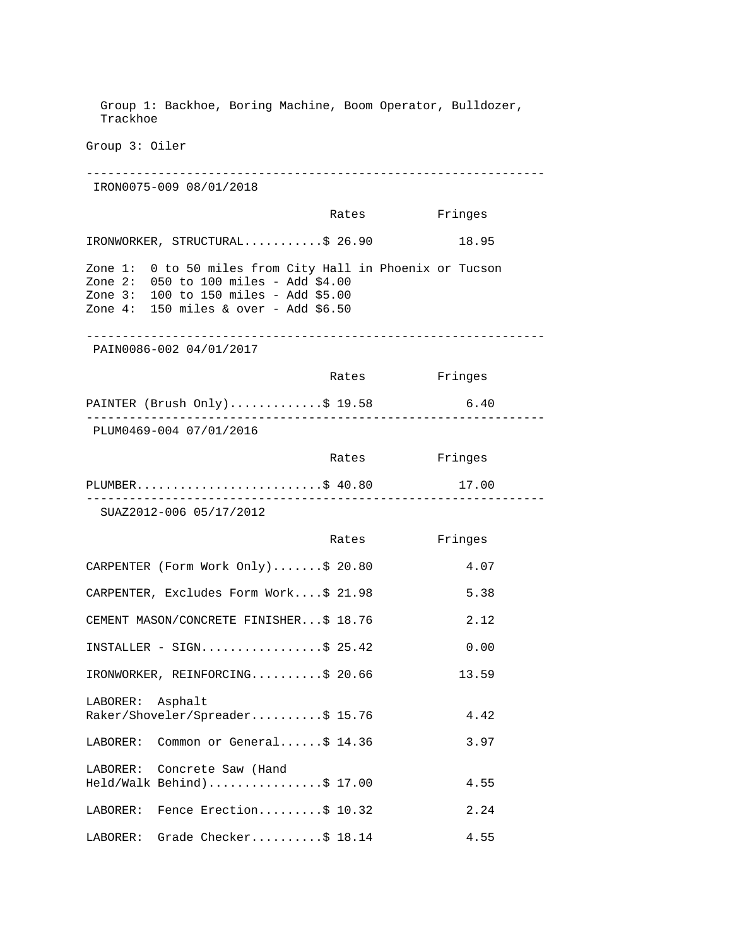Group 1: Backhoe, Boring Machine, Boom Operator, Bulldozer, Trackhoe Group 3: Oiler ---------------------------------------------------------------- IRON0075-009 08/01/2018 Rates Fringes IRONWORKER, STRUCTURAL...........\$ 26.90 18.95 Zone 1: 0 to 50 miles from City Hall in Phoenix or Tucson Zone 2: 050 to 100 miles - Add \$4.00 Zone 3: 100 to 150 miles - Add \$5.00 Zone 4: 150 miles & over - Add \$6.50 ---------------------------------------------------------------- PAIN0086-002 04/01/2017 Rates Fringes PAINTER (Brush Only)..............\$ 19.58 6.40 ---------------------------------------------------------------- PLUM0469-004 07/01/2016 Rates Fringes PLUMBER................................\$ 40.80 17.00 ---------------------------------------------------------------- SUAZ2012-006 05/17/2012 Rates Fringes CARPENTER (Form Work Only).......\$ 20.80 4.07 CARPENTER, Excludes Form Work....\$ 21.98 5.38 CEMENT MASON/CONCRETE FINISHER...\$ 18.76 2.12 INSTALLER - SIGN.................\$ 25.42 0.00 IRONWORKER, REINFORCING..........\$ 20.66 13.59 LABORER: Asphalt Raker/Shoveler/Spreader..........\$ 15.76 4.42 LABORER: Common or General......\$ 14.36 3.97 LABORER: Concrete Saw (Hand Held/Walk Behind).................\$ 17.00 4.55 LABORER: Fence Erection.........\$ 10.32 2.24 LABORER: Grade Checker..........\$ 18.14 4.55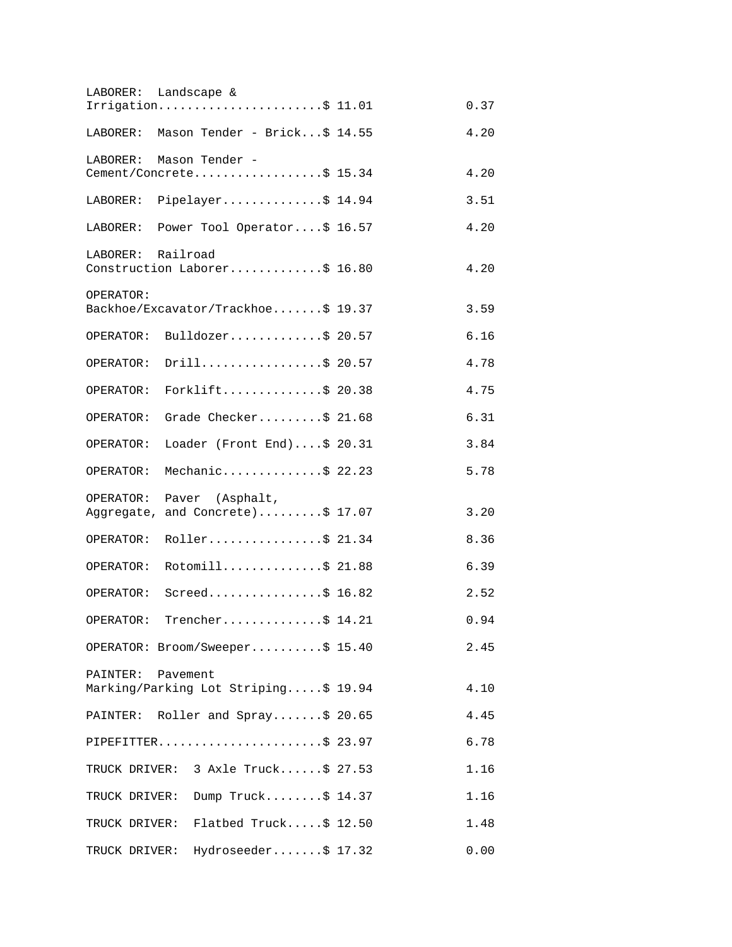| LABORER: Landscape & |                                      |      |
|----------------------|--------------------------------------|------|
|                      | Irrigation\$ 11.01                   | 0.37 |
| LABORER:             | Mason Tender - Brick\$ 14.55         | 4.20 |
| LABORER:             | Mason Tender -                       |      |
|                      | Cement/Concrete\$ 15.34              | 4.20 |
| LABORER:             | Pipelayer\$ 14.94                    | 3.51 |
| LABORER:             | Power Tool Operator\$ 16.57          | 4.20 |
| Railroad<br>LABORER: | Construction Laborer\$ 16.80         | 4.20 |
| OPERATOR:            |                                      |      |
|                      | Backhoe/Excavator/Trackhoe\$ 19.37   | 3.59 |
|                      | OPERATOR: Bulldozer\$ 20.57          | 6.16 |
| OPERATOR:            | Drill\$ 20.57                        | 4.78 |
| OPERATOR:            | Forklift\$ 20.38                     | 4.75 |
| OPERATOR:            | Grade Checker\$ 21.68                | 6.31 |
| OPERATOR:            | Loader (Front End)\$ 20.31           | 3.84 |
| OPERATOR:            | Mechanic\$ 22.23                     | 5.78 |
| OPERATOR:            | Paver (Asphalt,                      |      |
|                      | Aggregate, and Concrete)\$ 17.07     | 3.20 |
| OPERATOR:            | Roller\$ 21.34                       | 8.36 |
| OPERATOR:            | Rotomill\$ 21.88                     | 6.39 |
|                      | OPERATOR: Screed\$ 16.82             | 2.52 |
|                      | OPERATOR: Trencher\$ 14.21           | 0.94 |
|                      | OPERATOR: Broom/Sweeper\$ 15.40      | 2.45 |
| PAINTER: Pavement    |                                      |      |
|                      | Marking/Parking Lot Striping\$ 19.94 | 4.10 |
|                      | PAINTER: Roller and Spray\$ 20.65    | 4.45 |
|                      | PIPEFITTER\$ 23.97                   | 6.78 |
|                      | TRUCK DRIVER: 3 Axle Truck\$ 27.53   | 1.16 |
|                      | TRUCK DRIVER: Dump Truck\$ 14.37     | 1.16 |
|                      | TRUCK DRIVER: Flatbed Truck\$ 12.50  | 1.48 |
| TRUCK DRIVER:        | Hydroseeder\$ 17.32                  | 0.00 |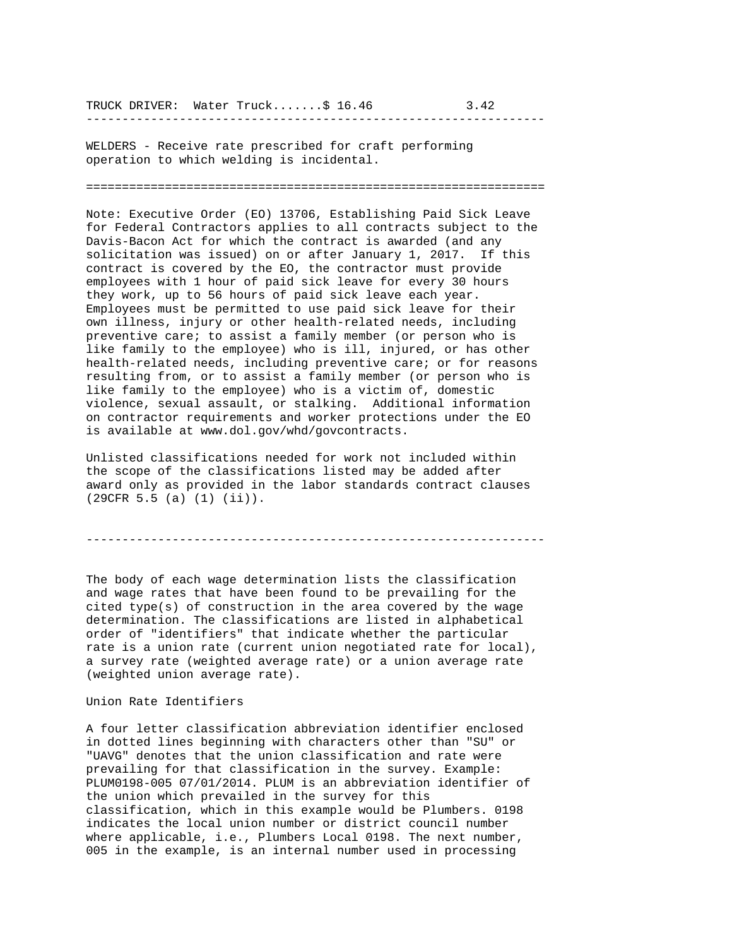TRUCK DRIVER: Water Truck.......\$ 16.46 3.42

----------------------------------------------------------------

WELDERS - Receive rate prescribed for craft performing operation to which welding is incidental.

================================================================

Note: Executive Order (EO) 13706, Establishing Paid Sick Leave for Federal Contractors applies to all contracts subject to the Davis-Bacon Act for which the contract is awarded (and any solicitation was issued) on or after January 1, 2017. If this contract is covered by the EO, the contractor must provide employees with 1 hour of paid sick leave for every 30 hours they work, up to 56 hours of paid sick leave each year. Employees must be permitted to use paid sick leave for their own illness, injury or other health-related needs, including preventive care; to assist a family member (or person who is like family to the employee) who is ill, injured, or has other health-related needs, including preventive care; or for reasons resulting from, or to assist a family member (or person who is like family to the employee) who is a victim of, domestic violence, sexual assault, or stalking. Additional information on contractor requirements and worker protections under the EO is available at www.dol.gov/whd/govcontracts.

Unlisted classifications needed for work not included within the scope of the classifications listed may be added after award only as provided in the labor standards contract clauses (29CFR 5.5 (a) (1) (ii)).

----------------------------------------------------------------

The body of each wage determination lists the classification and wage rates that have been found to be prevailing for the cited type(s) of construction in the area covered by the wage determination. The classifications are listed in alphabetical order of "identifiers" that indicate whether the particular rate is a union rate (current union negotiated rate for local), a survey rate (weighted average rate) or a union average rate (weighted union average rate).

Union Rate Identifiers

A four letter classification abbreviation identifier enclosed in dotted lines beginning with characters other than "SU" or "UAVG" denotes that the union classification and rate were prevailing for that classification in the survey. Example: PLUM0198-005 07/01/2014. PLUM is an abbreviation identifier of the union which prevailed in the survey for this classification, which in this example would be Plumbers. 0198 indicates the local union number or district council number where applicable, i.e., Plumbers Local 0198. The next number, 005 in the example, is an internal number used in processing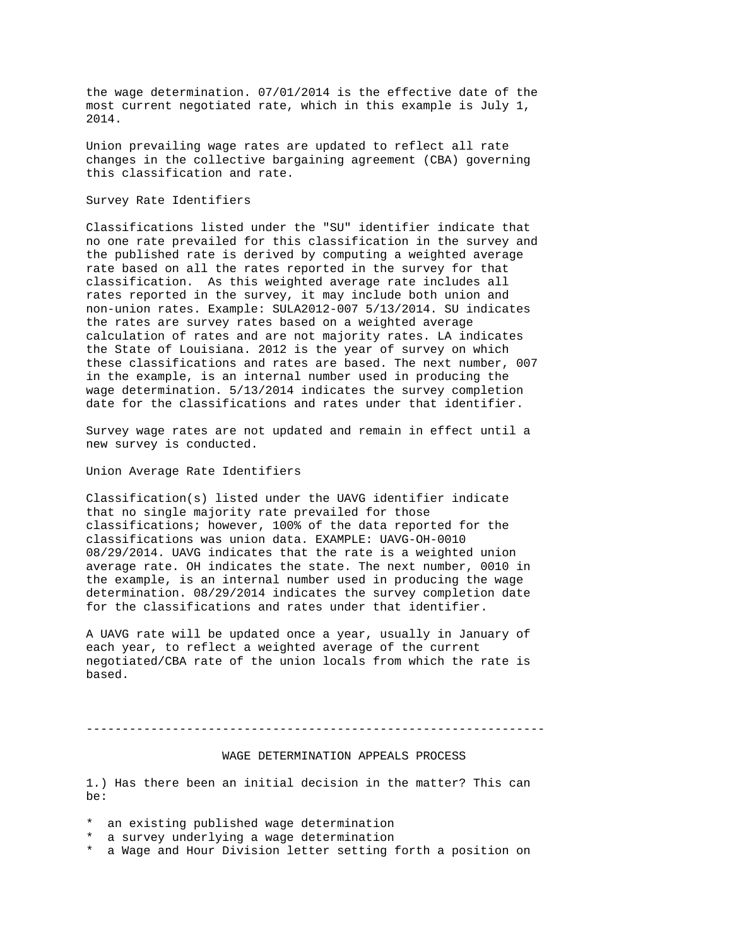the wage determination. 07/01/2014 is the effective date of the most current negotiated rate, which in this example is July 1, 2014.

Union prevailing wage rates are updated to reflect all rate changes in the collective bargaining agreement (CBA) governing this classification and rate.

#### Survey Rate Identifiers

Classifications listed under the "SU" identifier indicate that no one rate prevailed for this classification in the survey and the published rate is derived by computing a weighted average rate based on all the rates reported in the survey for that classification. As this weighted average rate includes all rates reported in the survey, it may include both union and non-union rates. Example: SULA2012-007 5/13/2014. SU indicates the rates are survey rates based on a weighted average calculation of rates and are not majority rates. LA indicates the State of Louisiana. 2012 is the year of survey on which these classifications and rates are based. The next number, 007 in the example, is an internal number used in producing the wage determination. 5/13/2014 indicates the survey completion date for the classifications and rates under that identifier.

Survey wage rates are not updated and remain in effect until a new survey is conducted.

#### Union Average Rate Identifiers

Classification(s) listed under the UAVG identifier indicate that no single majority rate prevailed for those classifications; however, 100% of the data reported for the classifications was union data. EXAMPLE: UAVG-OH-0010 08/29/2014. UAVG indicates that the rate is a weighted union average rate. OH indicates the state. The next number, 0010 in the example, is an internal number used in producing the wage determination. 08/29/2014 indicates the survey completion date for the classifications and rates under that identifier.

A UAVG rate will be updated once a year, usually in January of each year, to reflect a weighted average of the current negotiated/CBA rate of the union locals from which the rate is based.

----------------------------------------------------------------

#### WAGE DETERMINATION APPEALS PROCESS

1.) Has there been an initial decision in the matter? This can be:

- \* an existing published wage determination
- \* a survey underlying a wage determination
- \* a Wage and Hour Division letter setting forth a position on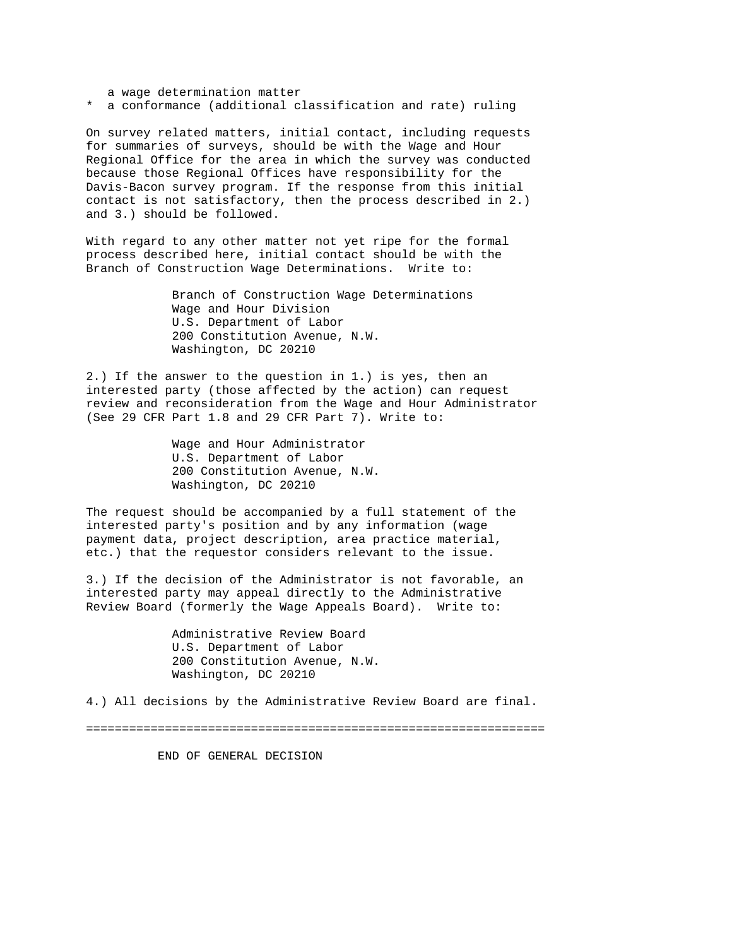a wage determination matter

\* a conformance (additional classification and rate) ruling

On survey related matters, initial contact, including requests for summaries of surveys, should be with the Wage and Hour Regional Office for the area in which the survey was conducted because those Regional Offices have responsibility for the Davis-Bacon survey program. If the response from this initial contact is not satisfactory, then the process described in 2.) and 3.) should be followed.

With regard to any other matter not yet ripe for the formal process described here, initial contact should be with the Branch of Construction Wage Determinations. Write to:

> Branch of Construction Wage Determinations Wage and Hour Division U.S. Department of Labor 200 Constitution Avenue, N.W. Washington, DC 20210

2.) If the answer to the question in 1.) is yes, then an interested party (those affected by the action) can request review and reconsideration from the Wage and Hour Administrator (See 29 CFR Part 1.8 and 29 CFR Part 7). Write to:

> Wage and Hour Administrator U.S. Department of Labor 200 Constitution Avenue, N.W. Washington, DC 20210

The request should be accompanied by a full statement of the interested party's position and by any information (wage payment data, project description, area practice material, etc.) that the requestor considers relevant to the issue.

3.) If the decision of the Administrator is not favorable, an interested party may appeal directly to the Administrative Review Board (formerly the Wage Appeals Board). Write to:

> Administrative Review Board U.S. Department of Labor 200 Constitution Avenue, N.W. Washington, DC 20210

4.) All decisions by the Administrative Review Board are final.

================================================================

END OF GENERAL DECISION